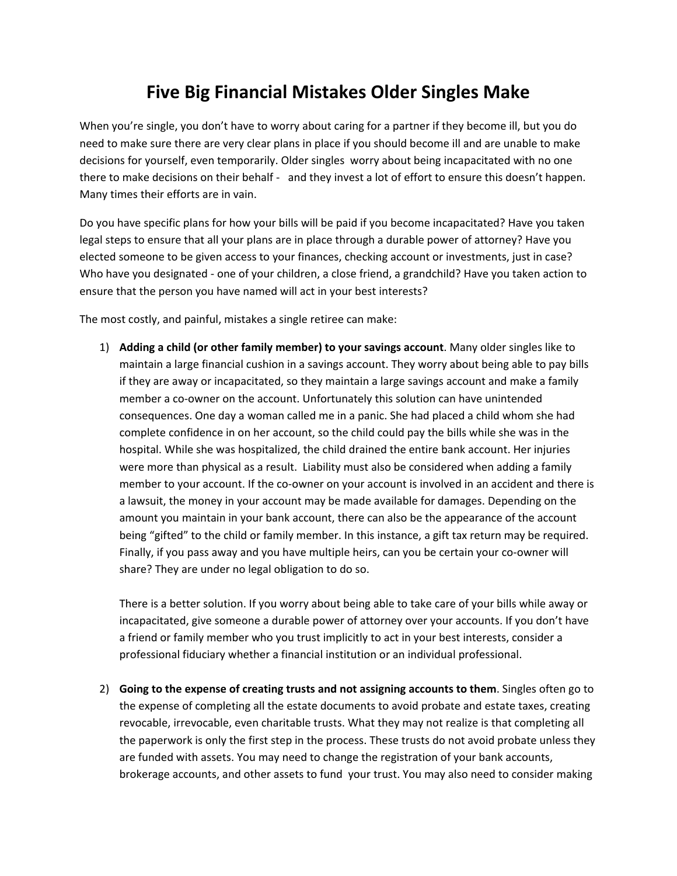## **Five Big Financial Mistakes Older Singles Make**

When you're single, you don't have to worry about caring for a partner if they become ill, but you do need to make sure there are very clear plans in place if you should become ill and are unable to make decisions for yourself, even temporarily. Older singles worry about being incapacitated with no one there to make decisions on their behalf ‐ and they invest a lot of effort to ensure this doesn't happen. Many times their efforts are in vain.

Do you have specific plans for how your bills will be paid if you become incapacitated? Have you taken legal steps to ensure that all your plans are in place through a durable power of attorney? Have you elected someone to be given access to your finances, checking account or investments, just in case? Who have you designated ‐ one of your children, a close friend, a grandchild? Have you taken action to ensure that the person you have named will act in your best interests?

The most costly, and painful, mistakes a single retiree can make:

1) **Adding a child (or other family member) to your savings account**. Many older singles like to maintain a large financial cushion in a savings account. They worry about being able to pay bills if they are away or incapacitated, so they maintain a large savings account and make a family member a co-owner on the account. Unfortunately this solution can have unintended consequences. One day a woman called me in a panic. She had placed a child whom she had complete confidence in on her account, so the child could pay the bills while she was in the hospital. While she was hospitalized, the child drained the entire bank account. Her injuries were more than physical as a result. Liability must also be considered when adding a family member to your account. If the co-owner on your account is involved in an accident and there is a lawsuit, the money in your account may be made available for damages. Depending on the amount you maintain in your bank account, there can also be the appearance of the account being "gifted" to the child or family member. In this instance, a gift tax return may be required. Finally, if you pass away and you have multiple heirs, can you be certain your co-owner will share? They are under no legal obligation to do so.

There is a better solution. If you worry about being able to take care of your bills while away or incapacitated, give someone a durable power of attorney over your accounts. If you don't have a friend or family member who you trust implicitly to act in your best interests, consider a professional fiduciary whether a financial institution or an individual professional.

2) **Going to the expense of creating trusts and not assigning accounts to them**. Singles often go to the expense of completing all the estate documents to avoid probate and estate taxes, creating revocable, irrevocable, even charitable trusts. What they may not realize is that completing all the paperwork is only the first step in the process. These trusts do not avoid probate unless they are funded with assets. You may need to change the registration of your bank accounts, brokerage accounts, and other assets to fund your trust. You may also need to consider making